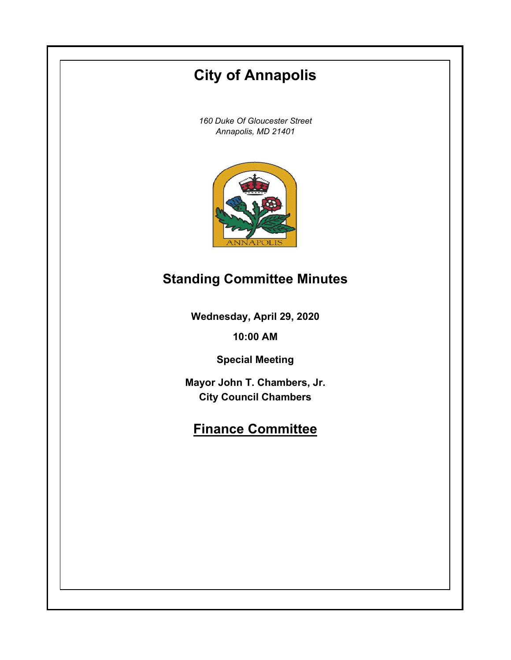# **City of Annapolis**

*160 Duke Of Gloucester Street Annapolis, MD 21401*



## **Standing Committee Minutes**

**Wednesday, April 29, 2020**

**10:00 AM**

**Special Meeting**

**Mayor John T. Chambers, Jr. City Council Chambers**

## **Finance Committee**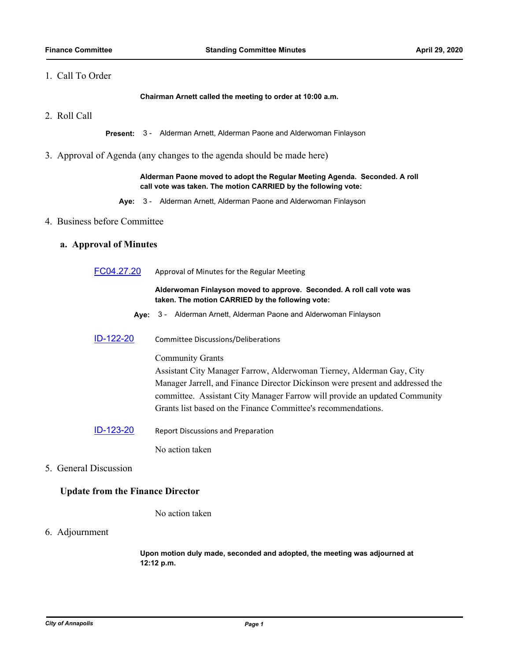## 1. Call To Order

**Chairman Arnett called the meeting to order at 10:00 a.m.**

2. Roll Call

**Present:** 3 - Alderman Arnett, Alderman Paone and Alderwoman Finlayson

3. Approval of Agenda (any changes to the agenda should be made here)

#### **Alderman Paone moved to adopt the Regular Meeting Agenda. Seconded. A roll call vote was taken. The motion CARRIED by the following vote:**

**Aye:** 3 - Alderman Arnett, Alderman Paone and Alderwoman Finlayson

### 4. Business before Committee

## **a. Approval of Minutes**

[FC04.27.20](http://annapolismd.legistar.com/gateway.aspx?m=l&id=/matter.aspx?key=4759) Approval of Minutes for the Regular Meeting

#### **Alderwoman Finlayson moved to approve. Seconded. A roll call vote was taken. The motion CARRIED by the following vote:**

- **Aye:** 3 Alderman Arnett, Alderman Paone and Alderwoman Finlayson
- [ID-122-20](http://annapolismd.legistar.com/gateway.aspx?m=l&id=/matter.aspx?key=4755) Committee Discussions/Deliberations

#### Community Grants

Assistant City Manager Farrow, Alderwoman Tierney, Alderman Gay, City Manager Jarrell, and Finance Director Dickinson were present and addressed the committee. Assistant City Manager Farrow will provide an updated Community Grants list based on the Finance Committee's recommendations.

[ID-123-20](http://annapolismd.legistar.com/gateway.aspx?m=l&id=/matter.aspx?key=4756) Report Discussions and Preparation

No action taken

5. General Discussion

### **Update from the Finance Director**

No action taken

#### 6. Adjournment

**Upon motion duly made, seconded and adopted, the meeting was adjourned at 12:12 p.m.**